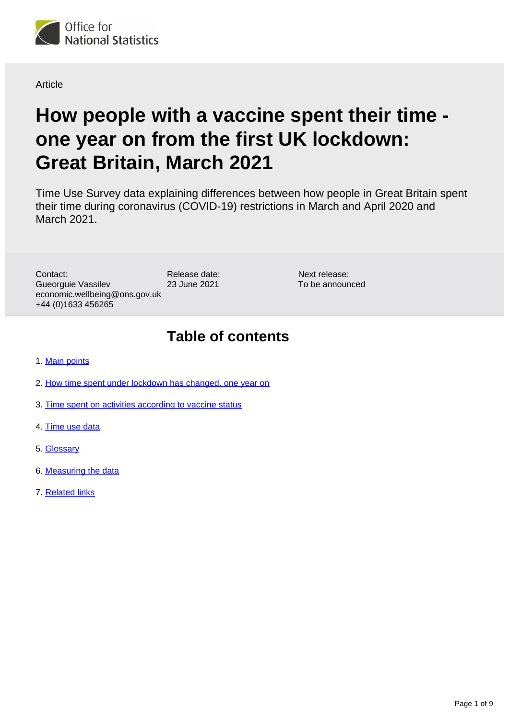

**Article** 

# **How people with a vaccine spent their time one year on from the first UK lockdown: Great Britain, March 2021**

Time Use Survey data explaining differences between how people in Great Britain spent their time during coronavirus (COVID-19) restrictions in March and April 2020 and March 2021.

Release date: 23 June 2021 Contact: Gueorguie Vassilev economic.wellbeing@ons.gov.uk +44 (0)1633 456265

Next release: To be announced

## **Table of contents**

- 1. [Main points](#page-1-0)
- 2. [How time spent under lockdown has changed, one year on](#page-2-0)
- 3. [Time spent on activities according to vaccine status](#page-3-0)
- 4. [Time use data](#page-5-0)
- 5. [Glossary](#page-5-1)
- 6. [Measuring the data](#page-6-0)
- 7. [Related links](#page-8-0)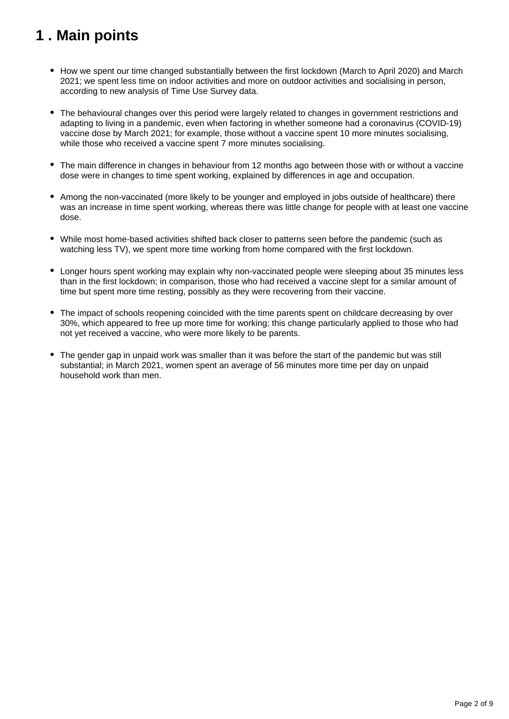## <span id="page-1-0"></span>**1 . Main points**

- How we spent our time changed substantially between the first lockdown (March to April 2020) and March 2021; we spent less time on indoor activities and more on outdoor activities and socialising in person, according to new analysis of Time Use Survey data.
- The behavioural changes over this period were largely related to changes in government restrictions and adapting to living in a pandemic, even when factoring in whether someone had a coronavirus (COVID-19) vaccine dose by March 2021; for example, those without a vaccine spent 10 more minutes socialising, while those who received a vaccine spent 7 more minutes socialising.
- The main difference in changes in behaviour from 12 months ago between those with or without a vaccine dose were in changes to time spent working, explained by differences in age and occupation.
- Among the non-vaccinated (more likely to be younger and employed in jobs outside of healthcare) there was an increase in time spent working, whereas there was little change for people with at least one vaccine dose.
- While most home-based activities shifted back closer to patterns seen before the pandemic (such as watching less TV), we spent more time working from home compared with the first lockdown.
- Longer hours spent working may explain why non-vaccinated people were sleeping about 35 minutes less than in the first lockdown; in comparison, those who had received a vaccine slept for a similar amount of time but spent more time resting, possibly as they were recovering from their vaccine.
- The impact of schools reopening coincided with the time parents spent on childcare decreasing by over 30%, which appeared to free up more time for working; this change particularly applied to those who had not yet received a vaccine, who were more likely to be parents.
- The gender gap in unpaid work was smaller than it was before the start of the pandemic but was still substantial; in March 2021, women spent an average of 56 minutes more time per day on unpaid household work than men.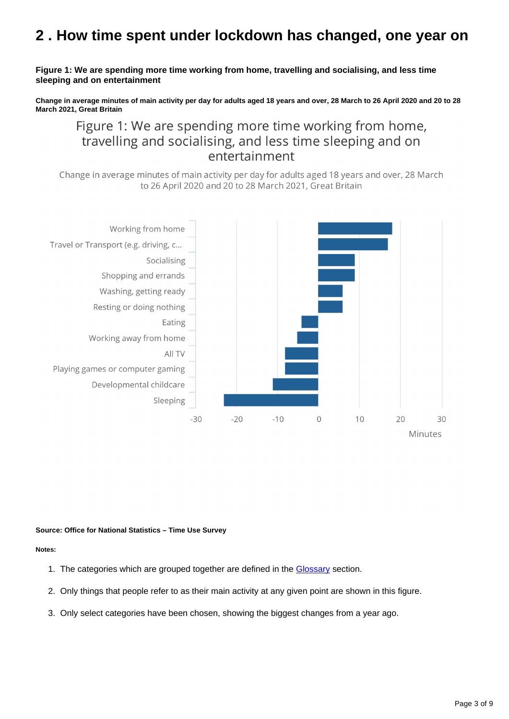## <span id="page-2-0"></span>**2 . How time spent under lockdown has changed, one year on**

**Figure 1: We are spending more time working from home, travelling and socialising, and less time sleeping and on entertainment**

**Change in average minutes of main activity per day for adults aged 18 years and over, 28 March to 26 April 2020 and 20 to 28 March 2021, Great Britain**

## Figure 1: We are spending more time working from home, travelling and socialising, and less time sleeping and on entertainment

Change in average minutes of main activity per day for adults aged 18 years and over, 28 March to 26 April 2020 and 20 to 28 March 2021, Great Britain



#### **Source: Office for National Statistics – Time Use Survey**

**Notes:**

- 1. The categories which are grouped together are defined in the [Glossary](https://www.ons.gov.uk/peoplepopulationandcommunity/healthandsocialcare/conditionsanddiseases/articles/howpeoplewithavaccinespenttheirtimeoneyearonfromthefirstuklockdown/greatbritainmarch2021#glossary) section.
- 2. Only things that people refer to as their main activity at any given point are shown in this figure.
- 3. Only select categories have been chosen, showing the biggest changes from a year ago.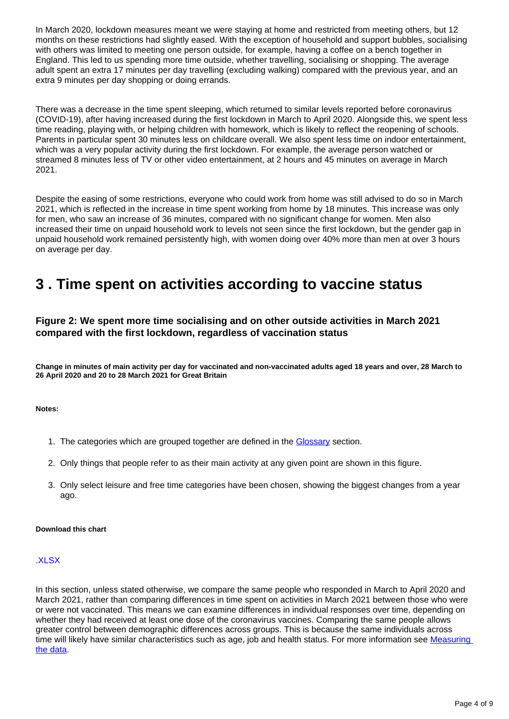In March 2020, lockdown measures meant we were staying at home and restricted from meeting others, but 12 months on these restrictions had slightly eased. With the exception of household and support bubbles, socialising with others was limited to meeting one person outside, for example, having a coffee on a bench together in England. This led to us spending more time outside, whether travelling, socialising or shopping. The average adult spent an extra 17 minutes per day travelling (excluding walking) compared with the previous year, and an extra 9 minutes per day shopping or doing errands.

There was a decrease in the time spent sleeping, which returned to similar levels reported before coronavirus (COVID-19), after having increased during the first lockdown in March to April 2020. Alongside this, we spent less time reading, playing with, or helping children with homework, which is likely to reflect the reopening of schools. Parents in particular spent 30 minutes less on childcare overall. We also spent less time on indoor entertainment, which was a very popular activity during the first lockdown. For example, the average person watched or streamed 8 minutes less of TV or other video entertainment, at 2 hours and 45 minutes on average in March 2021.

Despite the easing of some restrictions, everyone who could work from home was still advised to do so in March 2021, which is reflected in the increase in time spent working from home by 18 minutes. This increase was only for men, who saw an increase of 36 minutes, compared with no significant change for women. Men also increased their time on unpaid household work to levels not seen since the first lockdown, but the gender gap in unpaid household work remained persistently high, with women doing over 40% more than men at over 3 hours on average per day.

## <span id="page-3-0"></span>**3 . Time spent on activities according to vaccine status**

#### **Figure 2: We spent more time socialising and on other outside activities in March 2021 compared with the first lockdown, regardless of vaccination status**

**Change in minutes of main activity per day for vaccinated and non-vaccinated adults aged 18 years and over, 28 March to 26 April 2020 and 20 to 28 March 2021 for Great Britain**

#### **Notes:**

- 1. The categories which are grouped together are defined in the [Glossary](https://www.ons.gov.uk/peoplepopulationandcommunity/healthandsocialcare/conditionsanddiseases/articles/howpeoplewithavaccinespenttheirtimeoneyearonfromthefirstuklockdown/greatbritainmarch2021#glossary) section.
- 2. Only things that people refer to as their main activity at any given point are shown in this figure.
- 3. Only select leisure and free time categories have been chosen, showing the biggest changes from a year ago.

#### **Download this chart**

#### [.XLSX](https://www.ons.gov.uk/visualisations/dvc1438/split-bar-difference/datadownload.xlsx)

In this section, unless stated otherwise, we compare the same people who responded in March to April 2020 and March 2021, rather than comparing differences in time spent on activities in March 2021 between those who were or were not vaccinated. This means we can examine differences in individual responses over time, depending on whether they had received at least one dose of the coronavirus vaccines. Comparing the same people allows greater control between demographic differences across groups. This is because the same individuals across time will likely have similar characteristics such as age, job and health status. For more information see Measuring [the data](https://www.ons.gov.uk/peoplepopulationandcommunity/healthandsocialcare/conditionsanddiseases/articles/howpeoplewithavaccinespenttheirtimeoneyearonfromthefirstuklockdown/greatbritainmarch2021#measuring-the-data).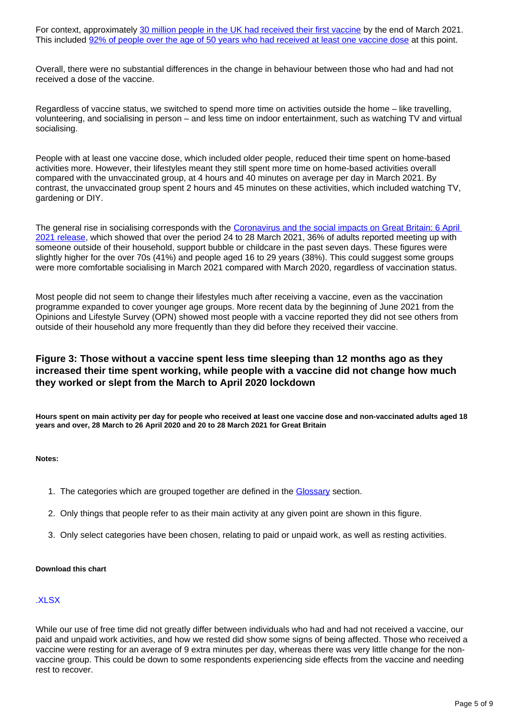For context, approximately [30 million people in the UK had received their first vaccine](https://coronavirus.data.gov.uk/details/vaccinations) by the end of March 2021. This included [92% of people over the age of 50 years who had received at least one vaccine dose](https://www.ons.gov.uk/peoplepopulationandcommunity/healthandsocialcare/healthinequalities/datasets/covid19vaccinationratesandoddsratiosbysociodemographicgroup) at this point.

Overall, there were no substantial differences in the change in behaviour between those who had and had not received a dose of the vaccine.

Regardless of vaccine status, we switched to spend more time on activities outside the home – like travelling, volunteering, and socialising in person – and less time on indoor entertainment, such as watching TV and virtual socialising.

People with at least one vaccine dose, which included older people, reduced their time spent on home-based activities more. However, their lifestyles meant they still spent more time on home-based activities overall compared with the unvaccinated group, at 4 hours and 40 minutes on average per day in March 2021. By contrast, the unvaccinated group spent 2 hours and 45 minutes on these activities, which included watching TV, gardening or DIY.

The general rise in socialising corresponds with the Coronavirus and the social impacts on Great Britain: 6 April [2021 release](https://www.ons.gov.uk/peoplepopulationandcommunity/healthandsocialcare/healthandwellbeing/bulletins/coronavirusandthesocialimpactsongreatbritain/6april2021), which showed that over the period 24 to 28 March 2021, 36% of adults reported meeting up with someone outside of their household, support bubble or childcare in the past seven days. These figures were slightly higher for the over 70s (41%) and people aged 16 to 29 years (38%). This could suggest some groups were more comfortable socialising in March 2021 compared with March 2020, regardless of vaccination status.

Most people did not seem to change their lifestyles much after receiving a vaccine, even as the vaccination programme expanded to cover younger age groups. More recent data by the beginning of June 2021 from the Opinions and Lifestyle Survey (OPN) showed most people with a vaccine reported they did not see others from outside of their household any more frequently than they did before they received their vaccine.

#### **Figure 3: Those without a vaccine spent less time sleeping than 12 months ago as they increased their time spent working, while people with a vaccine did not change how much they worked or slept from the March to April 2020 lockdown**

**Hours spent on main activity per day for people who received at least one vaccine dose and non-vaccinated adults aged 18 years and over, 28 March to 26 April 2020 and 20 to 28 March 2021 for Great Britain**

#### **Notes:**

- 1. The categories which are grouped together are defined in the [Glossary](https://www.ons.gov.uk/peoplepopulationandcommunity/healthandsocialcare/conditionsanddiseases/articles/howpeoplewithavaccinespenttheirtimeoneyearonfromthefirstuklockdown/greatbritainmarch2021#glossary) section.
- 2. Only things that people refer to as their main activity at any given point are shown in this figure.
- 3. Only select categories have been chosen, relating to paid or unpaid work, as well as resting activities.

#### **Download this chart**

#### [.XLSX](https://www.ons.gov.uk/visualisations/dvc1438/dotplots-sidebyside/datadownload.xlsx)

While our use of free time did not greatly differ between individuals who had and had not received a vaccine, our paid and unpaid work activities, and how we rested did show some signs of being affected. Those who received a vaccine were resting for an average of 9 extra minutes per day, whereas there was very little change for the nonvaccine group. This could be down to some respondents experiencing side effects from the vaccine and needing rest to recover.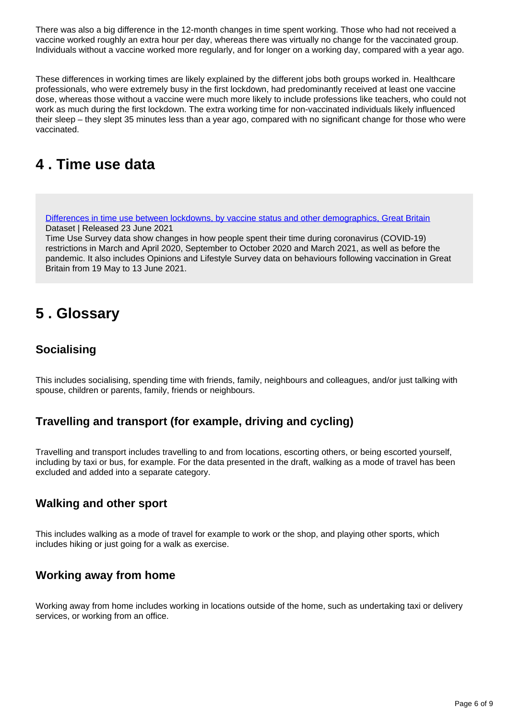There was also a big difference in the 12-month changes in time spent working. Those who had not received a vaccine worked roughly an extra hour per day, whereas there was virtually no change for the vaccinated group. Individuals without a vaccine worked more regularly, and for longer on a working day, compared with a year ago.

These differences in working times are likely explained by the different jobs both groups worked in. Healthcare professionals, who were extremely busy in the first lockdown, had predominantly received at least one vaccine dose, whereas those without a vaccine were much more likely to include professions like teachers, who could not work as much during the first lockdown. The extra working time for non-vaccinated individuals likely influenced their sleep – they slept 35 minutes less than a year ago, compared with no significant change for those who were vaccinated.

## <span id="page-5-0"></span>**4 . Time use data**

[Differences in time use between lockdowns, by vaccine status and other demographics, Great Britain](https://www.ons.gov.uk/peoplepopulationandcommunity/healthandsocialcare/conditionsanddiseases/datasets/differencesintimeusebetweenlockdownsbyvaccinestatusgreatbritain) Dataset | Released 23 June 2021

Time Use Survey data show changes in how people spent their time during coronavirus (COVID-19) restrictions in March and April 2020, September to October 2020 and March 2021, as well as before the pandemic. It also includes Opinions and Lifestyle Survey data on behaviours following vaccination in Great Britain from 19 May to 13 June 2021.

## <span id="page-5-1"></span>**5 . Glossary**

## **Socialising**

This includes socialising, spending time with friends, family, neighbours and colleagues, and/or just talking with spouse, children or parents, family, friends or neighbours.

### **Travelling and transport (for example, driving and cycling)**

Travelling and transport includes travelling to and from locations, escorting others, or being escorted yourself, including by taxi or bus, for example. For the data presented in the draft, walking as a mode of travel has been excluded and added into a separate category.

### **Walking and other sport**

This includes walking as a mode of travel for example to work or the shop, and playing other sports, which includes hiking or just going for a walk as exercise.

### **Working away from home**

Working away from home includes working in locations outside of the home, such as undertaking taxi or delivery services, or working from an office.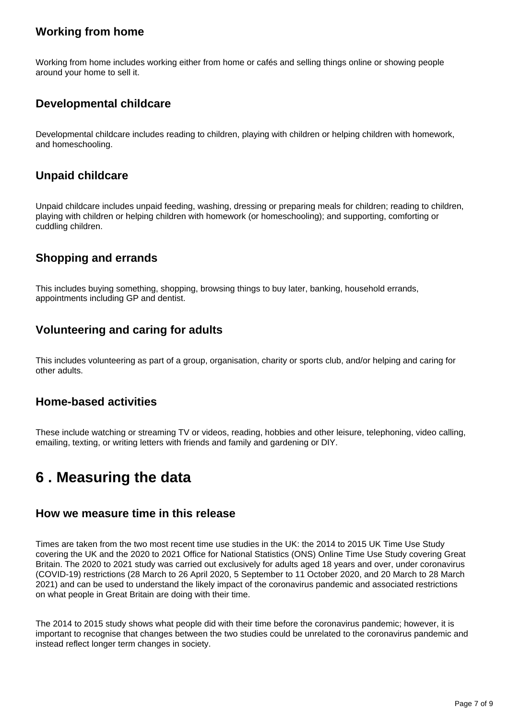## **Working from home**

Working from home includes working either from home or cafés and selling things online or showing people around your home to sell it.

### **Developmental childcare**

Developmental childcare includes reading to children, playing with children or helping children with homework, and homeschooling.

### **Unpaid childcare**

Unpaid childcare includes unpaid feeding, washing, dressing or preparing meals for children; reading to children, playing with children or helping children with homework (or homeschooling); and supporting, comforting or cuddling children.

## **Shopping and errands**

This includes buying something, shopping, browsing things to buy later, banking, household errands, appointments including GP and dentist.

### **Volunteering and caring for adults**

This includes volunteering as part of a group, organisation, charity or sports club, and/or helping and caring for other adults.

#### **Home-based activities**

These include watching or streaming TV or videos, reading, hobbies and other leisure, telephoning, video calling, emailing, texting, or writing letters with friends and family and gardening or DIY.

## <span id="page-6-0"></span>**6 . Measuring the data**

#### **How we measure time in this release**

Times are taken from the two most recent time use studies in the UK: the 2014 to 2015 UK Time Use Study covering the UK and the 2020 to 2021 Office for National Statistics (ONS) Online Time Use Study covering Great Britain. The 2020 to 2021 study was carried out exclusively for adults aged 18 years and over, under coronavirus (COVID-19) restrictions (28 March to 26 April 2020, 5 September to 11 October 2020, and 20 March to 28 March 2021) and can be used to understand the likely impact of the coronavirus pandemic and associated restrictions on what people in Great Britain are doing with their time.

The 2014 to 2015 study shows what people did with their time before the coronavirus pandemic; however, it is important to recognise that changes between the two studies could be unrelated to the coronavirus pandemic and instead reflect longer term changes in society.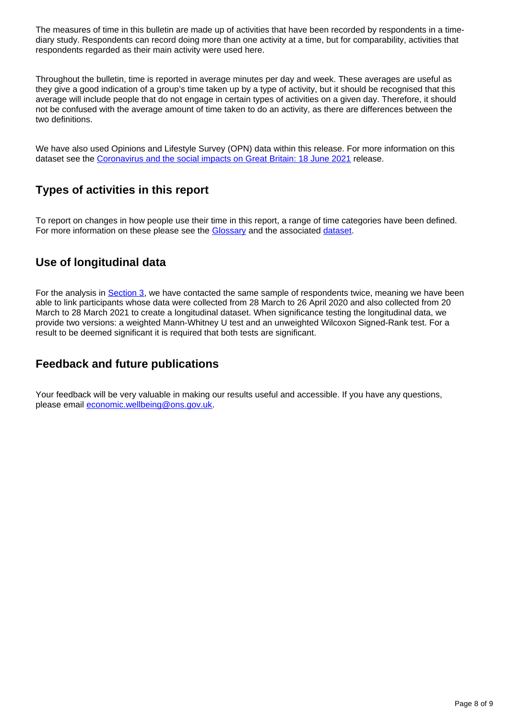The measures of time in this bulletin are made up of activities that have been recorded by respondents in a timediary study. Respondents can record doing more than one activity at a time, but for comparability, activities that respondents regarded as their main activity were used here.

Throughout the bulletin, time is reported in average minutes per day and week. These averages are useful as they give a good indication of a group's time taken up by a type of activity, but it should be recognised that this average will include people that do not engage in certain types of activities on a given day. Therefore, it should not be confused with the average amount of time taken to do an activity, as there are differences between the two definitions.

We have also used Opinions and Lifestyle Survey (OPN) data within this release. For more information on this dataset see the [Coronavirus and the social impacts on Great Britain: 18 June 2021](https://www.ons.gov.uk/peoplepopulationandcommunity/healthandsocialcare/healthandwellbeing/bulletins/coronavirusandthesocialimpactsongreatbritain/18june2021#measuring-the-data) release.

### **Types of activities in this report**

To report on changes in how people use their time in this report, a range of time categories have been defined. For more information on these please see the [Glossary](https://www.ons.gov.uk/peoplepopulationandcommunity/healthandsocialcare/conditionsanddiseases/articles/howpeoplewithavaccinespenttheirtimeoneyearonfromthefirstuklockdown/greatbritainmarch2021#glossary) and the associated [dataset](https://www.ons.gov.uk/peoplepopulationandcommunity/healthandsocialcare/conditionsanddiseases/datasets/differencesintimeusebetweenlockdownsbyvaccinestatusgreatbritain).

## **Use of longitudinal data**

For the analysis in [Section 3,](https://www.ons.gov.uk/peoplepopulationandcommunity/healthandsocialcare/conditionsanddiseases/articles/howpeoplewithavaccinespenttheirtimeoneyearonfromthefirstuklockdown/greatbritainmarch2021#time-spent-on-activities-according-to-vaccine-status) we have contacted the same sample of respondents twice, meaning we have been able to link participants whose data were collected from 28 March to 26 April 2020 and also collected from 20 March to 28 March 2021 to create a longitudinal dataset. When significance testing the longitudinal data, we provide two versions: a weighted Mann-Whitney U test and an unweighted Wilcoxon Signed-Rank test. For a result to be deemed significant it is required that both tests are significant.

### **Feedback and future publications**

Your feedback will be very valuable in making our results useful and accessible. If you have any questions, please email [economic.wellbeing@ons.gov.uk](mailto:economic.wellbeing@ons.gov.uk).